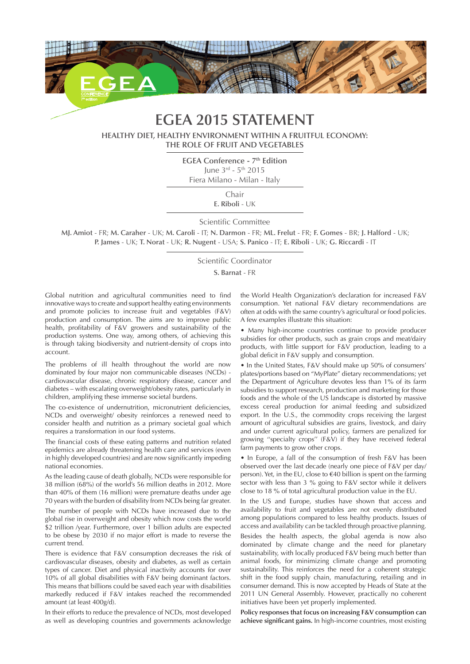

## **EGEA 2015 STATEMENT**

**HEALTHY DIET, HEALTHY ENVIRONMENT WITHIN A FRUITFUL ECONOMY: THE ROLE OF FRUIT AND VEGETABLES**

> **EGEA Conference - 7<sup>th</sup> Edition** June 3rd - 5th 2015 Fiera Milano - Milan - Italy

> > Chair

**E. Riboli** - UK

Scientific Committee

**MJ. Amiot** - FR; **M. Caraher** - UK; **M. Caroli** - IT; **N. Darmon** - FR; **ML. Frelut** - FR; **F. Gomes** - BR; **J. Halford** - UK; **P. James** - UK; **T. Norat** - UK; **R. Nugent** - USA; **S. Panico** - IT; **E. Riboli** - UK; **G. Riccardi** - IT

Scientific Coordinator

**S. Barnat** - FR

Global nutrition and agricultural communities need to find innovative ways to create and support healthy eating environments and promote policies to increase fruit and vegetables (F&V) production and consumption. The aims are to improve public health, profitability of F&V growers and sustainability of the production systems. One way, among others, of achieving this is through taking biodiversity and nutrient-density of crops into account.

The problems of ill health throughout the world are now dominated by four major non communicable diseases (NCDs) cardiovascular disease, chronic respiratory disease, cancer and diabetes – with escalating overweight/obesity rates, particularly in children, amplifying these immense societal burdens.

The co-existence of undernutrition, micronutrient deficiencies, NCDs and overweight/ obesity reinforces a renewed need to consider health and nutrition as a primary societal goal which requires a transformation in our food systems.

The financial costs of these eating patterns and nutrition related epidemics are already threatening health care and services (even in highly developed countries) and are now significantly impeding national economies.

As the leading cause of death globally, NCDs were responsible for 38 million (68%) of the world's 56 million deaths in 2012. More than 40% of them (16 million) were premature deaths under age 70 years with the burden of disability from NCDs being far greater.

The number of people with NCDs have increased due to the global rise in overweight and obesity which now costs the world \$2 trillion /year. Furthermore, over 1 billion adults are expected to be obese by 2030 if no major effort is made to reverse the current trend.

There is evidence that F&V consumption decreases the risk of cardiovascular diseases, obesity and diabetes, as well as certain types of cancer. Diet and physical inactivity accounts for over 10% of all global disabilities with F&V being dominant factors. This means that billions could be saved each year with disabilities markedly reduced if F&V intakes reached the recommended amount (at least 400g/d).

In their efforts to reduce the prevalence of NCDs, most developed as well as developing countries and governments acknowledge the World Health Organization's declaration for increased F&V consumption. Yet national F&V dietary recommendations are often at odds with the same country's agricultural or food policies. A few examples illustrate this situation:

• Many high-income countries continue to provide producer subsidies for other products, such as grain crops and meat/dairy products, with little support for F&V production, leading to a global deficit in F&V supply and consumption.

• In the United States, F&V should make up 50% of consumers' plates/portions based on "MyPlate" dietary recommendations; yet the Department of Agriculture devotes less than 1% of its farm subsidies to support research, production and marketing for those foods and the whole of the US landscape is distorted by massive excess cereal production for animal feeding and subsidized export. In the U.S., the commodity crops receiving the largest amount of agricultural subsidies are grains, livestock, and dairy and under current agricultural policy, farmers are penalized for growing ''specialty crops'' (F&V) if they have received federal farm payments to grow other crops.

• In Europe, a fall of the consumption of fresh F&V has been observed over the last decade (nearly one piece of F&V per day/ person). Yet, in the EU, close to €40 billion is spent on the farming sector with less than 3 % going to F&V sector while it delivers close to 18 % of total agricultural production value in the EU.

In the US and Europe, studies have shown that access and availability to fruit and vegetables are not evenly distributed among populations compared to less healthy products. Issues of access and availability can be tackled through proactive planning.

Besides the health aspects, the global agenda is now also dominated by climate change and the need for planetary sustainability, with locally produced F&V being much better than animal foods, for minimizing climate change and promoting sustainability. This reinforces the need for a coherent strategic shift in the food supply chain, manufacturing, retailing and in consumer demand. This is now accepted by Heads of State at the 2011 UN General Assembly. However, practically no coherent initiatives have been yet properly implemented.

**Policy responses that focus on increasing F&V consumption can achieve significant gains.** In high-income countries, most existing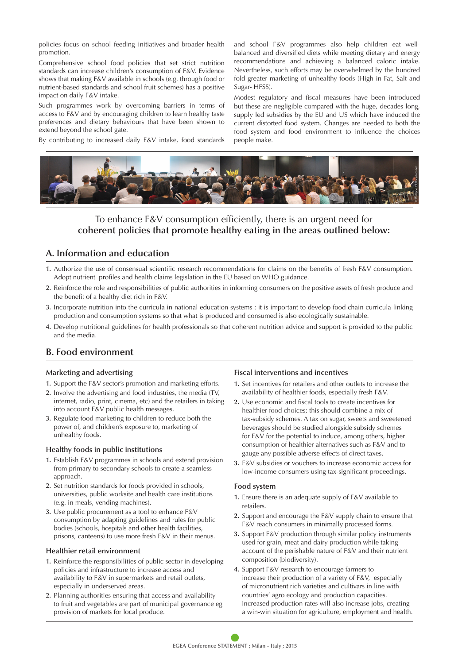policies focus on school feeding initiatives and broader health promotion.

Comprehensive school food policies that set strict nutrition standards can increase children's consumption of F&V. Evidence shows that making F&V available in schools (e.g. through food or nutrient-based standards and school fruit schemes) has a positive impact on daily F&V intake.

Such programmes work by overcoming barriers in terms of access to F&V and by encouraging children to learn healthy taste preferences and dietary behaviours that have been shown to extend beyond the school gate.

By contributing to increased daily F&V intake, food standards

and school F&V programmes also help children eat wellbalanced and diversified diets while meeting dietary and energy recommendations and achieving a balanced caloric intake. Nevertheless, such efforts may be overwhelmed by the hundred fold greater marketing of unhealthy foods (High in Fat, Salt and Sugar- HFSS).

Modest regulatory and fiscal measures have been introduced but these are negligible compared with the huge, decades long, supply led subsidies by the EU and US which have induced the current distorted food system. Changes are needed to both the food system and food environment to influence the choices people make.



### To enhance F&V consumption efficiently, there is an urgent need for **coherent policies that promote healthy eating in the areas outlined below:**

## **A. Information and education**

- **1.** Authorize the use of consensual scientific research recommendations for claims on the benefits of fresh F&V consumption. Adopt nutrient profiles and health claims legislation in the EU based on WHO guidance.
- **2.** Reinforce the role and responsibilities of public authorities in informing consumers on the positive assets of fresh produce and the benefit of a healthy diet rich in F&V.
- **3.** Incorporate nutrition into the curricula in national education systems : it is important to develop food chain curricula linking production and consumption systems so that what is produced and consumed is also ecologically sustainable.
- **4.** Develop nutritional guidelines for health professionals so that coherent nutrition advice and support is provided to the public and the media.

## **B. Food environment**

#### **Marketing and advertising**

- **1.** Support the F&V sector's promotion and marketing efforts.
- **2.** Involve the advertising and food industries, the media (TV, internet, radio, print, cinema, etc) and the retailers in taking into account F&V public health messages.
- **3.** Regulate food marketing to children to reduce both the power of, and children's exposure to, marketing of unhealthy foods.

#### **Healthy foods in public institutions**

- **1.** Establish F&V programmes in schools and extend provision from primary to secondary schools to create a seamless approach.
- **2.** Set nutrition standards for foods provided in schools, universities, public worksite and health care institutions (e.g. in meals, vending machines).
- **3.** Use public procurement as a tool to enhance F&V consumption by adapting guidelines and rules for public bodies (schools, hospitals and other health facilities, prisons, canteens) to use more fresh F&V in their menus.

#### **Healthier retail environment**

- **1.** Reinforce the responsibilities of public sector in developing policies and infrastructure to increase access and availability to F&V in supermarkets and retail outlets, especially in underserved areas.
- **2.** Planning authorities ensuring that access and availability to fruit and vegetables are part of municipal governance eg provision of markets for local produce.

#### **Fiscal interventions and incentives**

- **1.** Set incentives for retailers and other outlets to increase the availability of healthier foods, especially fresh F&V.
- **2.** Use economic and fiscal tools to create incentives for healthier food choices; this should combine a mix of tax-subsidy schemes. A tax on sugar, sweets and sweetened beverages should be studied alongside subsidy schemes for F&V for the potential to induce, among others, higher consumption of healthier alternatives such as F&V and to gauge any possible adverse effects of direct taxes.
- **3.** F&V subsidies or vouchers to increase economic access for low-income consumers using tax-significant proceedings.

#### **Food system**

- **1.** Ensure there is an adequate supply of F&V available to retailers.
- **2.** Support and encourage the F&V supply chain to ensure that F&V reach consumers in minimally processed forms.
- **3.** Support F&V production through similar policy instruments used for grain, meat and dairy production while taking account of the perishable nature of F&V and their nutrient composition (biodiversity).
- **4.** Support F&V research to encourage farmers to increase their production of a variety of F&V, especially of micronutrient rich varieties and cultivars in line with countries' agro ecology and production capacities. Increased production rates will also increase jobs, creating a win-win situation for agriculture, employment and health.